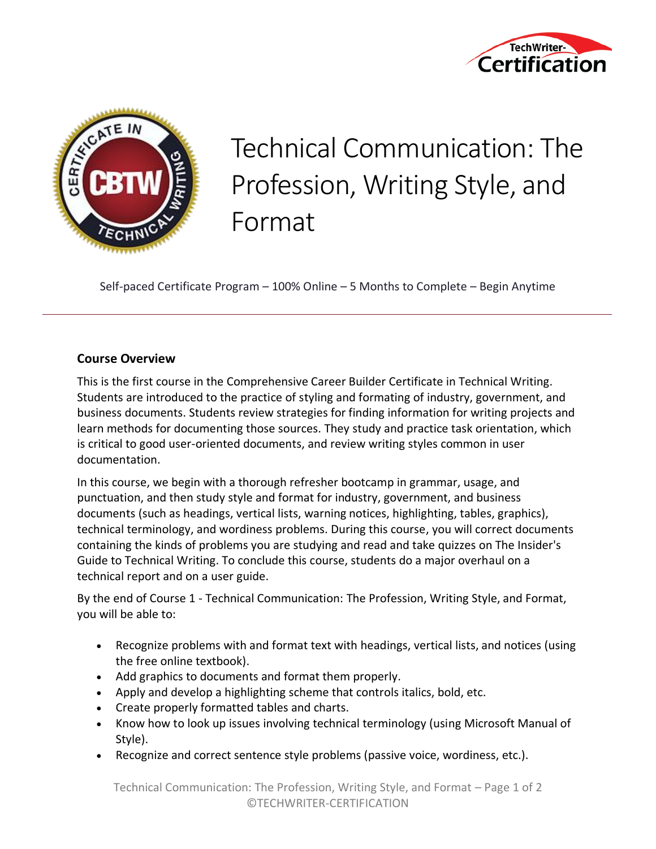



## Technical Communication: The Profession, Writing Style, and Format

Self-paced Certificate Program – 100% Online – 5 Months to Complete – Begin Anytime

## **Course Overview**

This is the first course in the Comprehensive Career Builder Certificate in Technical Writing. Students are introduced to the practice of styling and formating of industry, government, and business documents. Students review strategies for finding information for writing projects and learn methods for documenting those sources. They study and practice task orientation, which is critical to good user-oriented documents, and review writing styles common in user documentation.

In this course, we begin with a thorough refresher bootcamp in grammar, usage, and punctuation, and then study style and format for industry, government, and business documents (such as headings, vertical lists, warning notices, highlighting, tables, graphics), technical terminology, and wordiness problems. During this course, you will correct documents containing the kinds of problems you are studying and read and take quizzes on The Insider's Guide to Technical Writing. To conclude this course, students do a major overhaul on a technical report and on a user guide.

By the end of Course 1 - Technical Communication: The Profession, Writing Style, and Format, you will be able to:

- Recognize problems with and format text with headings, vertical lists, and notices (using the free online textbook).
- Add graphics to documents and format them properly.
- Apply and develop a highlighting scheme that controls italics, bold, etc.
- Create properly formatted tables and charts.
- Know how to look up issues involving technical terminology (using Microsoft Manual of Style).
- Recognize and correct sentence style problems (passive voice, wordiness, etc.).